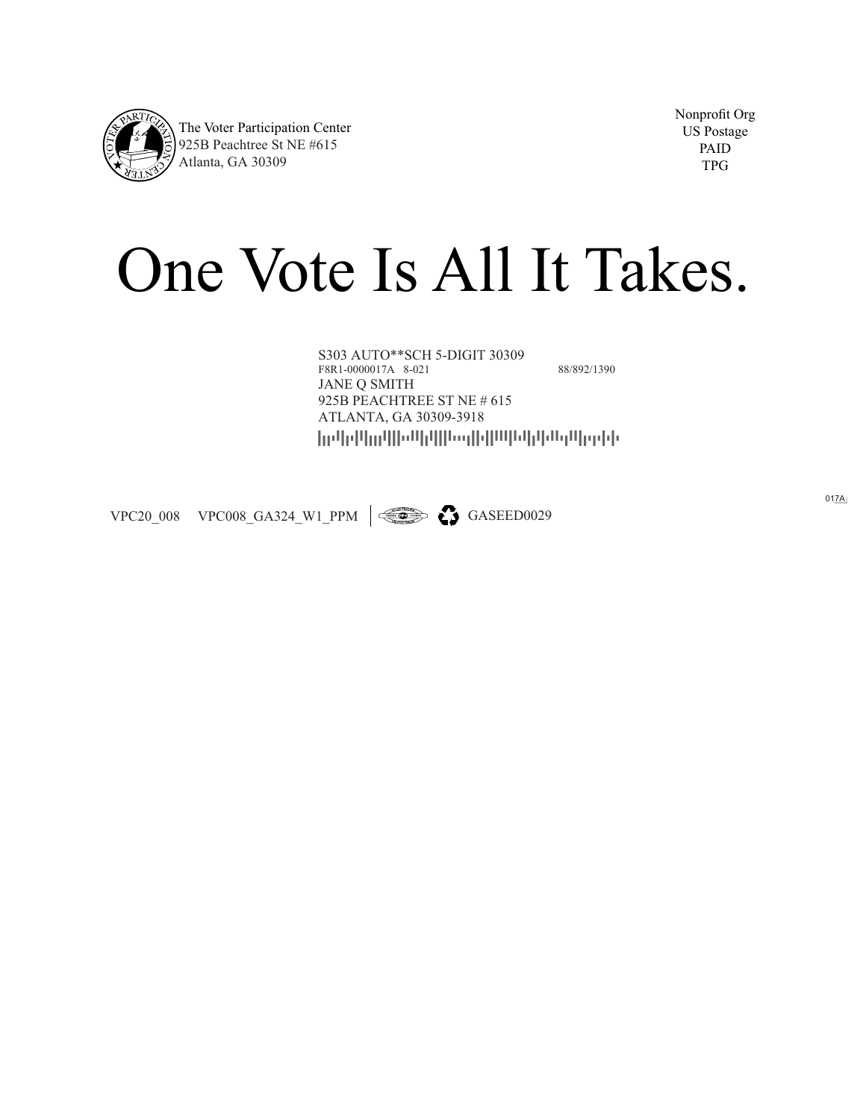

Nonprofit Org US Postage PAID TPG

## One Vote Is All It Takes.

----------------- S303 AUTO\*\*SCH 5-DIGIT 30309 F8R1-0000017A 8-021 88/892/1390 JANE Q SMITH 925B PEACHTREE ST NE # 615 ATLANTA, GA 30309-3918

VPC20\_008 VPC008\_GA324\_W1\_PPM  $\left|\right. \right| \leftarrow$  GASEED0029